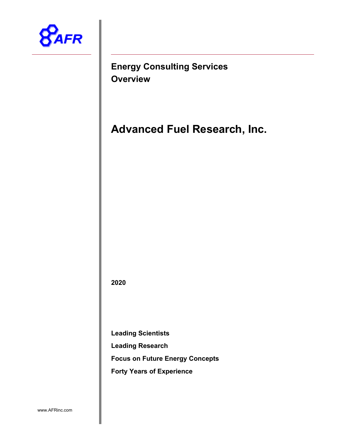

**Energy Consulting Services Overview**

**Advanced Fuel Research, Inc.**

**2020**

**Leading Scientists**

**Leading Research**

**Focus on Future Energy Concepts** 

**Forty Years of Experience**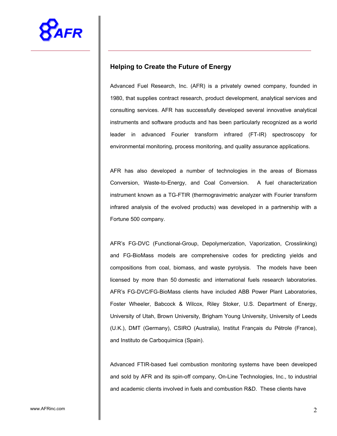# **Helping to Create the Future of Energy**

Advanced Fuel Research, Inc. (AFR) is a privately owned company, founded in 1980, that supplies contract research, product development, analytical services and consulting services. AFR has successfully developed several innovative analytical instruments and software products and has been particularly recognized as a world leader in advanced Fourier transform infrared (FT-IR) spectroscopy for environmental monitoring, process monitoring, and quality assurance applications.

AFR has also developed a number of technologies in the areas of Biomass Conversion, Waste-to-Energy, and Coal Conversion. A fuel characterization instrument known as a TG-FTIR (thermogravimetric analyzer with Fourier transform infrared analysis of the evolved products) was developed in a partnership with a Fortune 500 company.

AFR's FG-DVC (Functional-Group, Depolymerization, Vaporization, Crosslinking) and FG-BioMass models are comprehensive codes for predicting yields and compositions from coal, biomass, and waste pyrolysis. The models have been licensed by more than 50 domestic and international fuels research laboratories. AFR's FG-DVC/FG-BioMass clients have included ABB Power Plant Laboratories, Foster Wheeler, Babcock & Wilcox, Riley Stoker, U.S. Department of Energy, University of Utah, Brown University, Brigham Young University, University of Leeds (U.K.), DMT (Germany), CSIRO (Australia), Institut Français du Pétrole (France), and Instituto de Carboquimica (Spain).

Advanced FTIR-based fuel combustion monitoring systems have been developed and sold by AFR and its spin-off company, On-Line Technologies, Inc., to industrial and academic clients involved in fuels and combustion R&D. These clients have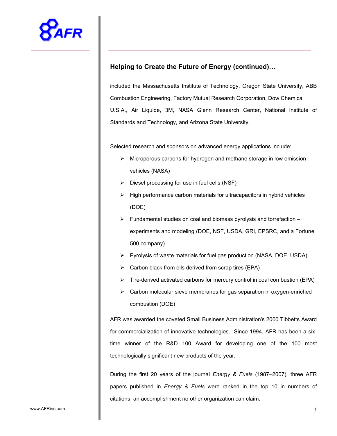

# **Helping to Create the Future of Energy (continued)…**

included the Massachusetts Institute of Technology, Oregon State University, ABB Combustion Engineering, Factory Mutual Research Corporation, Dow Chemical U.S.A., Air Liquide, 3M, NASA Glenn Research Center, National Institute of Standards and Technology, and Arizona State University.

Selected research and sponsors on advanced energy applications include:

- $\triangleright$  Microporous carbons for hydrogen and methane storage in low emission vehicles (NASA)
- $\triangleright$  Diesel processing for use in fuel cells (NSF)
- $\triangleright$  High performance carbon materials for ultracapacitors in hybrid vehicles (DOE)
- $\triangleright$  Fundamental studies on coal and biomass pyrolysis and torrefaction experiments and modeling (DOE, NSF, USDA, GRI, EPSRC, and a Fortune 500 company)
- $\triangleright$  Pyrolysis of waste materials for fuel gas production (NASA, DOE, USDA)
- $\triangleright$  Carbon black from oils derived from scrap tires (EPA)
- $\triangleright$  Tire-derived activated carbons for mercury control in coal combustion (EPA)
- $\triangleright$  Carbon molecular sieve membranes for gas separation in oxygen-enriched combustion (DOE)

AFR was awarded the coveted Small Business Administration's 2000 Tibbetts Award for commercialization of innovative technologies. Since 1994, AFR has been a sixtime winner of the R&D 100 Award for developing one of the 100 most technologically significant new products of the year.

During the first 20 years of the journal *Energy & Fuels* (1987–2007), three AFR papers published in *Energy & Fuels* were ranked in the top 10 in numbers of citations, an accomplishment no other organization can claim.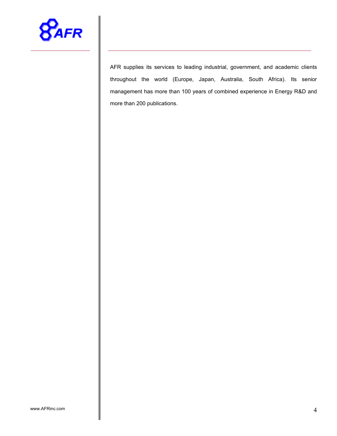

AFR supplies its services to leading industrial, government, and academic clients throughout the world (Europe, Japan, Australia, South Africa). Its senior management has more than 100 years of combined experience in Energy R&D and more than 200 publications.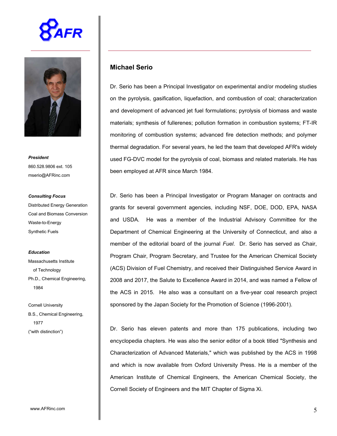



*President* 860.528.9806 ext. 105 mserio@AFRinc.com

#### *Consulting Focus*

Distributed Energy Generation Coal and Biomass Conversion Waste-to-Energy Synthetic Fuels

#### *Education*

Massachusetts Institute of Technology Ph.D., Chemical Engineering, 1984

Cornell University B.S., Chemical Engineering, 1977 ("with distinction")

## **Michael Serio**

Dr. Serio has been a Principal Investigator on experimental and/or modeling studies on the pyrolysis, gasification, liquefaction, and combustion of coal; characterization and development of advanced jet fuel formulations; pyrolysis of biomass and waste materials; synthesis of fullerenes; pollution formation in combustion systems; FT-IR monitoring of combustion systems; advanced fire detection methods; and polymer thermal degradation. For several years, he led the team that developed AFR's widely used FG-DVC model for the pyrolysis of coal, biomass and related materials. He has been employed at AFR since March 1984.

Dr. Serio has been a Principal Investigator or Program Manager on contracts and grants for several government agencies, including NSF, DOE, DOD, EPA, NASA and USDA. He was a member of the Industrial Advisory Committee for the Department of Chemical Engineering at the University of Connecticut, and also a member of the editorial board of the journal *Fuel*. Dr. Serio has served as Chair, Program Chair, Program Secretary, and Trustee for the American Chemical Society (ACS) Division of Fuel Chemistry, and received their Distinguished Service Award in 2008 and 2017, the Salute to Excellence Award in 2014, and was named a Fellow of the ACS in 2015. He also was a consultant on a five-year coal research project sponsored by the Japan Society for the Promotion of Science (1996-2001).

Dr. Serio has eleven patents and more than 175 publications, including two encyclopedia chapters. He was also the senior editor of a book titled "Synthesis and Characterization of Advanced Materials," which was published by the ACS in 1998 and which is now available from Oxford University Press. He is a member of the American Institute of Chemical Engineers, the American Chemical Society, the Cornell Society of Engineers and the MIT Chapter of Sigma Xi.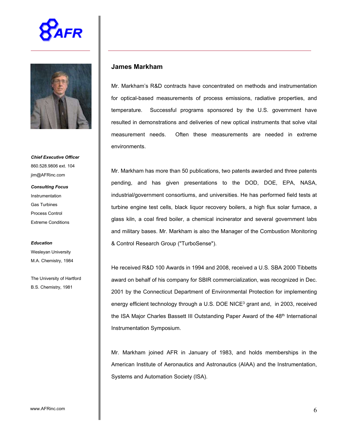



*Chief Executive Officer* 860.528.9806 ext. 104 jim@AFRinc.com

*Consulting Focus* Instrumentation Gas Turbines Process Control Extreme Conditions

#### *Education*

Wesleyan University M.A. Chemistry, 1984

The University of Hartford B.S. Chemistry, 1981

#### **James Markham**

Mr. Markham's R&D contracts have concentrated on methods and instrumentation for optical-based measurements of process emissions, radiative properties, and temperature. Successful programs sponsored by the U.S. government have resulted in demonstrations and deliveries of new optical instruments that solve vital measurement needs. Often these measurements are needed in extreme environments.

Mr. Markham has more than 50 publications, two patents awarded and three patents pending, and has given presentations to the DOD, DOE, EPA, NASA, industrial/government consortiums, and universities. He has performed field tests at turbine engine test cells, black liquor recovery boilers, a high flux solar furnace, a glass kiln, a coal fired boiler, a chemical incinerator and several government labs and military bases. Mr. Markham is also the Manager of the Combustion Monitoring & Control Research Group ("TurboSense").

He received R&D 100 Awards in 1994 and 2008, received a U.S. SBA 2000 Tibbetts award on behalf of his company for SBIR commercialization, was recognized in Dec. 2001 by the Connecticut Department of Environmental Protection for implementing energy efficient technology through a U.S. DOE NICE<sup>3</sup> grant and, in 2003, received the ISA Major Charles Bassett III Outstanding Paper Award of the 48<sup>th</sup> International Instrumentation Symposium.

Mr. Markham joined AFR in January of 1983, and holds memberships in the American Institute of Aeronautics and Astronautics (AIAA) and the Instrumentation, Systems and Automation Society (ISA).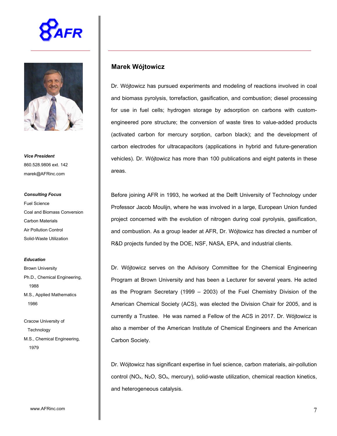



*Vice President* 860.528.9806 ext. 142 marek@AFRinc.com

#### *Consulting Focus*

Fuel Science Coal and Biomass Conversion Carbon Materials Air Pollution Control Solid-Waste Utilization

#### *Education*

Brown University Ph.D., Chemical Engineering, 1988 M.S., Applied Mathematics 1986

Cracow University of **Technology** M.S., Chemical Engineering, 1979

#### **Marek Wójtowicz**

Dr. Wójtowicz has pursued experiments and modeling of reactions involved in coal and biomass pyrolysis, torrefaction, gasification, and combustion; diesel processing for use in fuel cells; hydrogen storage by adsorption on carbons with customengineered pore structure; the conversion of waste tires to value-added products (activated carbon for mercury sorption, carbon black); and the development of carbon electrodes for ultracapacitors (applications in hybrid and future-generation vehicles). Dr. Wójtowicz has more than 100 publications and eight patents in these areas.

Before joining AFR in 1993, he worked at the Delft University of Technology under Professor Jacob Moulijn, where he was involved in a large, European Union funded project concerned with the evolution of nitrogen during coal pyrolysis, gasification, and combustion. As a group leader at AFR, Dr. Wójtowicz has directed a number of R&D projects funded by the DOE, NSF, NASA, EPA, and industrial clients.

Dr. Wójtowicz serves on the Advisory Committee for the Chemical Engineering Program at Brown University and has been a Lecturer for several years. He acted as the Program Secretary (1999 – 2003) of the Fuel Chemistry Division of the American Chemical Society (ACS), was elected the Division Chair for 2005, and is currently a Trustee. He was named a Fellow of the ACS in 2017. Dr. Wójtowicz is also a member of the American Institute of Chemical Engineers and the American Carbon Society.

Dr. Wójtowicz has significant expertise in fuel science, carbon materials, air-pollution control ( $NO<sub>x</sub>$ ,  $N_2O$ ,  $SO<sub>x</sub>$ , mercury), solid-waste utilization, chemical reaction kinetics, and heterogeneous catalysis.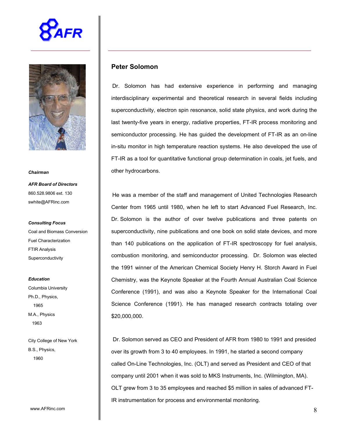



*Chairman*

*AFR Board of Directors* 860.528.9806 ext. 130 swhite@AFRinc.com

*Consulting Focus* Coal and Biomass Conversion Fuel Characterization FTIR Analysis **Superconductivity** 

*Education* Columbia University Ph.D., Physics, 1965 M.A., Physics 1963

City College of New York B.S., Physics, 1960

# **Peter Solomon**

Dr. Solomon has had extensive experience in performing and managing interdisciplinary experimental and theoretical research in several fields including superconductivity, electron spin resonance, solid state physics, and work during the last twenty-five years in energy, radiative properties, FT-IR process monitoring and semiconductor processing. He has guided the development of FT-IR as an on-line in-situ monitor in high temperature reaction systems. He also developed the use of FT-IR as a tool for quantitative functional group determination in coals, jet fuels, and other hydrocarbons.

He was a member of the staff and management of United Technologies Research Center from 1965 until 1980, when he left to start Advanced Fuel Research, Inc. Dr. Solomon is the author of over twelve publications and three patents on superconductivity, nine publications and one book on solid state devices, and more than 140 publications on the application of FT-IR spectroscopy for fuel analysis, combustion monitoring, and semiconductor processing. Dr. Solomon was elected the 1991 winner of the American Chemical Society Henry H. Storch Award in Fuel Chemistry, was the Keynote Speaker at the Fourth Annual Australian Coal Science Conference (1991), and was also a Keynote Speaker for the International Coal Science Conference (1991). He has managed research contracts totaling over \$20,000,000.

Dr. Solomon served as CEO and President of AFR from 1980 to 1991 and presided over its growth from 3 to 40 employees. In 1991, he started a second company called On-Line Technologies, Inc. (OLT) and served as President and CEO of that company until 2001 when it was sold to MKS Instruments, Inc. (Wilmington, MA). OLT grew from 3 to 35 employees and reached \$5 million in sales of advanced FT-IR instrumentation for process and environmental monitoring.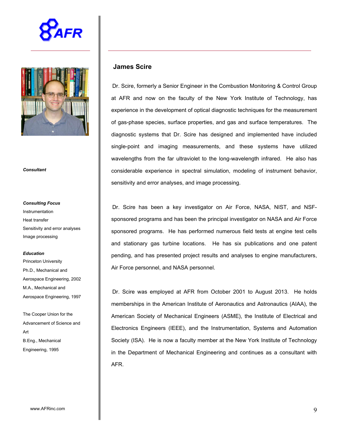



*Consultant*

# *Consulting Focus* Instrumentation Heat transfer Sensitivity and error analyses Image processing

#### *Education*

Princeton University Ph.D., Mechanical and Aerospace Engineering, 2002 M.A., Mechanical and Aerospace Engineering, 1997

The Cooper Union for the Advancement of Science and Art B.Eng., Mechanical Engineering, 1995

## **James Scire**

Dr. Scire, formerly a Senior Engineer in the Combustion Monitoring & Control Group at AFR and now on the faculty of the New York Institute of Technology, has experience in the development of optical diagnostic techniques for the measurement of gas-phase species, surface properties, and gas and surface temperatures. The diagnostic systems that Dr. Scire has designed and implemented have included single-point and imaging measurements, and these systems have utilized wavelengths from the far ultraviolet to the long-wavelength infrared. He also has considerable experience in spectral simulation, modeling of instrument behavior, sensitivity and error analyses, and image processing.

Dr. Scire has been a key investigator on Air Force, NASA, NIST, and NSFsponsored programs and has been the principal investigator on NASA and Air Force sponsored programs. He has performed numerous field tests at engine test cells and stationary gas turbine locations. He has six publications and one patent pending, and has presented project results and analyses to engine manufacturers, Air Force personnel, and NASA personnel.

Dr. Scire was employed at AFR from October 2001 to August 2013. He holds memberships in the American Institute of Aeronautics and Astronautics (AIAA), the American Society of Mechanical Engineers (ASME), the Institute of Electrical and Electronics Engineers (IEEE), and the Instrumentation, Systems and Automation Society (ISA). He is now a faculty member at the New York Institute of Technology in the Department of Mechanical Engineering and continues as a consultant with AFR.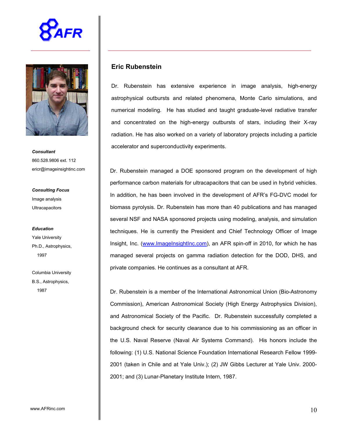



*Consultant* 860.528.9806 ext. 112 ericr@imageinsightinc.com

*Consulting Focus* Image analysis **Ultracapacitors** 

*Education* Yale University Ph.D., Astrophysics, 1997

Columbia University B.S., Astrophysics, 1987

## **Eric Rubenstein**

Dr. Rubenstein has extensive experience in image analysis, high-energy astrophysical outbursts and related phenomena, Monte Carlo simulations, and numerical modeling. He has studied and taught graduate-level radiative transfer and concentrated on the high-energy outbursts of stars, including their X-ray radiation. He has also worked on a variety of laboratory projects including a particle accelerator and superconductivity experiments.

Dr. Rubenstein managed a DOE sponsored program on the development of high performance carbon materials for ultracapacitors that can be used in hybrid vehicles. In addition, he has been involved in the development of AFR's FG-DVC model for biomass pyrolysis. Dr. Rubenstein has more than 40 publications and has managed several NSF and NASA sponsored projects using modeling, analysis, and simulation techniques. He is currently the President and Chief Technology Officer of Image Insight, Inc. (www.ImageInsightInc.com), an AFR spin-off in 2010, for which he has managed several projects on gamma radiation detection for the DOD, DHS, and private companies. He continues as a consultant at AFR.

Dr. Rubenstein is a member of the International Astronomical Union (Bio-Astronomy Commission), American Astronomical Society (High Energy Astrophysics Division), and Astronomical Society of the Pacific. Dr. Rubenstein successfully completed a background check for security clearance due to his commissioning as an officer in the U.S. Naval Reserve (Naval Air Systems Command). His honors include the following: (1) U.S. National Science Foundation International Research Fellow 1999- 2001 (taken in Chile and at Yale Univ.); (2) JW Gibbs Lecturer at Yale Univ. 2000- 2001; and (3) Lunar-Planetary Institute Intern, 1987.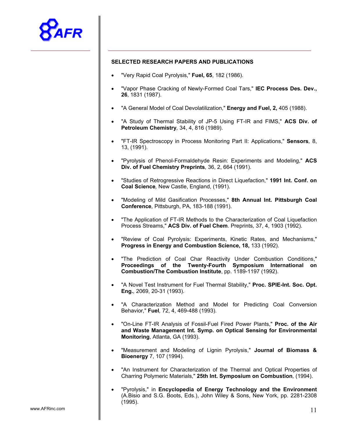

#### **SELECTED RESEARCH PAPERS AND PUBLICATIONS**

- "Very Rapid Coal Pyrolysis," **Fuel, 65**, 182 (1986).
- "Vapor Phase Cracking of Newly-Formed Coal Tars," **IEC Process Des. Dev., 26**, 1831 (1987).
- "A General Model of Coal Devolatilization," **Energy and Fuel, 2,** 405 (1988).
- "A Study of Thermal Stability of JP-5 Using FT-IR and FIMS," **ACS Div. of Petroleum Chemistry***,* 34, 4, 816 (1989).
- "FT-IR Spectroscopy in Process Monitoring Part II: Applications," **Sensors***,* 8, 13, (1991).
- "Pyrolysis of Phenol-Formaldehyde Resin: Experiments and Modeling," **ACS Div. of Fuel Chemistry Preprints***,* 36, 2, 664 (1991).
- "Studies of Retrogressive Reactions in Direct Liquefaction," **1991 Int. Conf. on Coal Science***,* New Castle, England, (1991).
- "Modeling of Mild Gasification Processes," **8th Annual Int. Pittsburgh Coal Conference***,* Pittsburgh, PA, 183-188 (1991).
- "The Application of FT-IR Methods to the Characterization of Coal Liquefaction Process Streams," **ACS Div. of Fuel Chem**. Preprints*,* 37, 4, 1903 (1992).
- "Review of Coal Pyrolysis: Experiments, Kinetic Rates, and Mechanisms," **Progress in Energy and Combustion Science, 18,** 133 (1992).
- "The Prediction of Coal Char Reactivity Under Combustion Conditions," **Proceedings of the Twenty-Fourth Symposium International on Combustion/The Combustion Institute**, pp. 1189-1197 (1992).
- "A Novel Test Instrument for Fuel Thermal Stability," **Proc. SPIE-Int. Soc. Opt. Eng.***,* 2069, 20-31 (1993).
- "A Characterization Method and Model for Predicting Coal Conversion Behavior," **Fuel***,* 72, 4, 469-488 (1993).
- "On-Line FT-IR Analysis of Fossil-Fuel Fired Power Plants," **Proc. of the Air and Waste Management Int. Symp. on Optical Sensing for Environmental Monitoring**, Atlanta, GA (1993).
- "Measurement and Modeling of Lignin Pyrolysis," **Journal of Biomass & Bioenergy** 7, 107 (1994).
- "An Instrument for Characterization of the Thermal and Optical Properties of Charring Polymeric Materials," **25th Int. Symposium on Combustion***,* (1994).
- "Pyrolysis," in **Encyclopedia of Energy Technology and the Environment** (A.Bisio and S.G. Boots, Eds.), John Wiley & Sons, New York, pp. 2281-2308 (1995).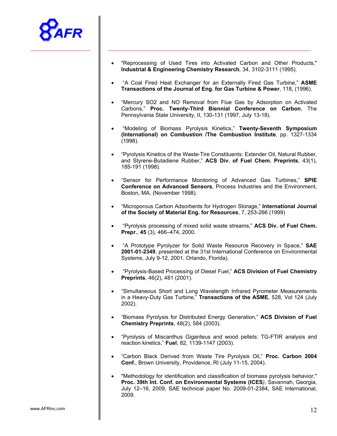

- "Reprocessing of Used Tires into Activated Carbon and Other Products," **Industrial & Engineering Chemistry Research***,* 34, 3102-3111 (1995).
- "A Coal Fired Heat Exchanger for an Externally Fired Gas Turbine," **ASME Transactions of the Journal of Eng. for Gas Turbine & Power**, 118, (1996).
- "Mercury SO2 and NO Removal from Flue Gas by Adsorption on Activated Carbons," **Proc. Twenty-Third Biennial Conference on Carbon**, The Pennsylvania State University, II, 130-131 (1997, July 13-18).
- "Modeling of Biomass Pyrolysis Kinetics," **Twenty-Seventh Symposium (International) on Combustion /The Combustion Institute**, pp. 1327-1334 (1998).
- "Pyrolysis Kinetics of the Waste-Tire Constituents: Extender Oil, Natural Rubber, and Styrene-Butadiene Rubber," **ACS Div. of Fuel Chem. Preprints**, 43(1), 185-191 (1998).
- "Sensor for Performance Monitoring of Advanced Gas Turbines," **SPIE Conference on Advanced Sensors**, Process Industries and the Environment, Boston, MA, (November 1998).
- "Microporous Carbon Adsorbents for Hydrogen Storage," **International Journal of the Society of Material Eng. for Resources**, 7, 253-266 (1999)
- "Pyrolysis processing of mixed solid waste streams," **ACS Div. of Fuel Chem. Prepr.**, **45** (3), 466–474, 2000.
- "A Prototype Pyrolyzer for Solid Waste Resource Recovery in Space," **SAE 2001-01-2349**, presented at the 31st International Conference on Environmental Systems, July 9-12, 2001, Orlando, Florida).
- "Pyrolysis-Based Processing of Diesel Fuel," **ACS Division of Fuel Chemistry Preprints**, 46(2), 481 (2001).
- "Simultaneous Short and Long Wavelength Infrared Pyrometer Measurements in a Heavy-Duty Gas Turbine," **Transactions of the ASME**, 528, Vol 124 (July 2002).
- "Biomass Pyrolysis for Distributed Energy Generation," **ACS Division of Fuel Chemistry Preprints**, 48(2), 584 (2003).
- "Pyrolysis of Miscanthus Giganteus and wood pellets: TG-FTIR analysis and reaction kinetics," **Fuel**, 82, 1139-1147 (2003).
- "Carbon Black Derived from Waste Tire Pyrolysis Oil," **Proc. Carbon 2004 Conf.**, Brown University, Providence, RI (July 11-15, 2004).
- "Methodology for identification and classification of biomass pyrolysis behavior," **Proc. 39th Int. Conf. on Environmental Systems (ICES***)*, Savannah, Georgia, July 12–16, 2009, SAE technical paper No. 2009-01-2384, SAE International, 2009.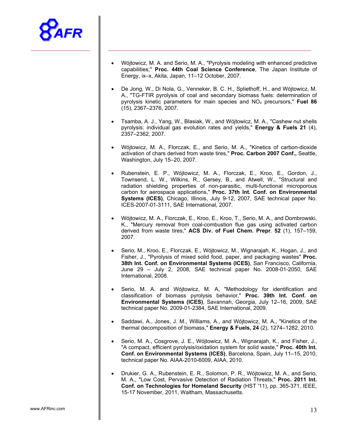

- Wójtowicz, M. A. and Serio, M. A., "Pyrolysis modeling with enhanced predictive capabilities;" **Proc. 44th Coal Science Conference**, The Japan Institute of Energy, ix–x, Akita, Japan, 11–12 October, 2007.
- De Jong, W., Di Nola, G., Venneker, B. C. H., Spliethoff, H., and Wójtowicz, M. A., "TG-FTIR pyrolysis of coal and secondary biomass fuels: determination of pyrolysis kinetic parameters for main species and NOx precursors," **Fuel 86** (15), 2367–2376, 2007.
- Tsamba, A. J., Yang, W., Blasiak, W., and Wójtowicz, M. A., "Cashew nut shells pyrolysis: individual gas evolution rates and yields," **Energy & Fuels 21** (4), 2357–2362, 2007.
- Wójtowicz, M. A., Florczak, E., and Serio, M. A., "Kinetics of carbon-dioxide activation of chars derived from waste tires," **Proc. Carbon 2007 Conf.,** Seattle, Washington, July 15–20, 2007.
- Rubenstein, E. P., Wójtowicz, M. A., Florczak, E., Kroo, E., Gordon, J., Townsend, L. W., Wilkins, R., Gersey, B., and Atwell, W., "Structural and radiation shielding properties of non-parasitic, multi-functional microporous carbon for aerospace applications," **Proc. 37th Int. Conf. on Environmental Systems (ICES)**, Chicago, Illinois, July 9-12, 2007, SAE technical paper No. ICES-2007-01-3111, SAE International, 2007.
- Wójtowicz, M. A., Florczak, E., Kroo, E., Kroo, T., Serio, M. A., and Dombrowski, K., "Mercury removal from coal-combustion flue gas using activated carbon derived from waste tires," **ACS Div. of Fuel Chem. Prepr***.* **52** (1), 157–159, 2007.
- Serio, M., Kroo, E., Florczak, E., Wójtowicz, M., Wignarajah, K., Hogan, J., and Fisher, J., "Pyrolysis of mixed solid food, paper, and packaging wastes" **Proc. 38th Int. Conf. on Environmental Systems (ICES)**, San Francisco, California, June 29 – July 2, 2008, SAE technical paper No. 2008-01-2050, SAE International, 2008.
- Serio, M. A. and Wójtowicz, M. A, "Methodology for identification and classification of biomass pyrolysis behavior," **Proc. 39th Int. Conf. on Environmental Systems (ICES)**, Savannah, Georgia, July 12–16, 2009, SAE technical paper No. 2009-01-2384, SAE International, 2009.
- Saddawi, A., Jones, J. M., Williams, A., and Wójtowicz, M. A., "Kinetics of the thermal decomposition of biomass," **Energy & Fuels, 24** (2), 1274–1282, 2010.
- Serio, M. A., Cosgrove, J. E., Wójtowicz, M. A., Wignarajah, K., and Fisher, J., "A compact, efficient pyrolysis/oxidation system for solid waste," **Proc. 40th Int. Conf. on Environmental Systems (ICES)**, Barcelona, Spain, July 11–15, 2010, technical paper No. AIAA-2010-6009, AIAA, 2010.
- Drukier, G. A., Rubenstein, E. R., Solomon, P. R., Wójtowicz, M. A., and Serio, M. A., "Low Cost, Pervasive Detection of Radiation Threats," **Proc. 2011 Int. Conf. on Technologies for Homeland Security** (HST '11), pp. 365-371, IEEE, 15-17 November, 2011, Waltham, Massachusetts.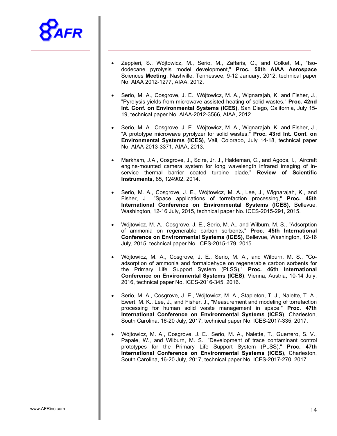

- Zeppieri, S., Wójtowicz, M., Serio, M., Zaffaris, G., and Colket, M., "Isododecane pyrolysis model development," **Proc. 50th AIAA Aerospace**  Sciences **Meeting**, Nashville, Tennessee, 9-12 January, 2012; technical paper No. AIAA 2012-1277, AIAA, 2012.
- Serio, M. A., Cosgrove, J. E., Wójtowicz, M. A., Wignarajah, K. and Fisher, J., "Pyrolysis yields from microwave-assisted heating of solid wastes," **Proc. 42nd Int. Conf. on Environmental Systems (ICES)**, San Diego, California, July 15- 19, technical paper No. AIAA-2012-3566, AIAA, 2012
- Serio, M. A., Cosgrove, J. E., Wójtowicz, M. A., Wignarajah, K. and Fisher, J., "A prototype microwave pyrolyzer for solid wastes," **Proc. 43rd Int. Conf. on Environmental Systems (ICES)**, Vail, Colorado, July 14-18, technical paper No. AIAA-2013-3371, AIAA, 2013.
- Markham, J.A., Cosgrove, J., Scire, Jr. J., Haldeman, C., and Agoos, I., "Aircraft engine-mounted camera system for long wavelength infrared imaging of inservice thermal barrier coated turbine blade," **Review of Scientific Instruments**, 85, 124902, 2014.
- Serio, M. A., Cosgrove, J. E., Wójtowicz, M. A., Lee, J., Wignarajah, K., and Fisher, J., "Space applications of torrefaction processing," **Proc. 45th International Conference on Environmental Systems (ICES)**, Bellevue, Washington, 12-16 July, 2015, technical paper No. ICES-2015-291, 2015.
- Wójtowicz, M. A., Cosgrove, J. E., Serio, M. A., and Wilburn, M. S., "Adsorption of ammonia on regenerable carbon sorbents," **Proc. 45th International Conference on Environmental Systems (ICES)**, Bellevue, Washington, 12-16 July, 2015, technical paper No. ICES-2015-179, 2015.
- Wójtowicz, M. A., Cosgrove, J. E., Serio, M. A., and Wilburn, M. S., "Coadsorption of ammonia and formaldehyde on regenerable carbon sorbents for the Primary Life Support System (PLSS)," **Proc. 46th International Conference on Environmental Systems (ICES)**, Vienna, Austria, 10-14 July, 2016, technical paper No. ICES-2016-345, 2016.
- Serio, M. A., Cosgrove, J. E., Wójtowicz, M. A., Stapleton, T. J., Nalette, T. A., Ewert, M. K., Lee, J., and Fisher, J., "Measurement and modeling of torrefaction processing for human solid waste management in space," **Proc. 47th International Conference on Environmental Systems (ICES)**, Charleston, South Carolina, 16-20 July, 2017, technical paper No. ICES-2017-335, 2017.
- Wójtowicz, M. A., Cosgrove, J. E., Serio, M. A., Nalette, T., Guerrero, S. V., Papale, W., and Wilburn, M. S., "Development of trace contaminant control prototypes for the Primary Life Support System (PLSS)," **Proc. 47th International Conference on Environmental Systems (ICES)**, Charleston, South Carolina, 16-20 July, 2017, technical paper No. ICES-2017-270, 2017.